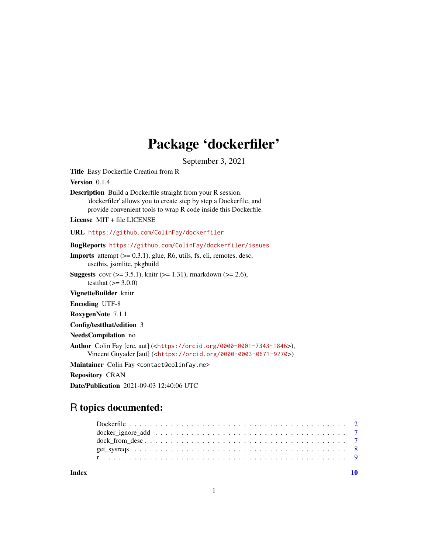# Package 'dockerfiler'

September 3, 2021

Title Easy Dockerfile Creation from R

Version 0.1.4

Description Build a Dockerfile straight from your R session. 'dockerfiler' allows you to create step by step a Dockerfile, and provide convenient tools to wrap R code inside this Dockerfile.

License MIT + file LICENSE

URL <https://github.com/ColinFay/dockerfiler>

BugReports <https://github.com/ColinFay/dockerfiler/issues>

**Imports** attempt  $(>= 0.3.1)$ , glue, R6, utils, fs, cli, remotes, desc, usethis, jsonlite, pkgbuild

**Suggests** covr ( $>= 3.5.1$ ), knitr ( $>= 1.31$ ), rmarkdown ( $>= 2.6$ ), testthat  $(>= 3.0.0)$ 

VignetteBuilder knitr

Encoding UTF-8

RoxygenNote 7.1.1

Config/testthat/edition 3

NeedsCompilation no

Author Colin Fay [cre, aut] (<<https://orcid.org/0000-0001-7343-1846>>),

Vincent Guyader [aut] (<<https://orcid.org/0000-0003-0671-9270>>)

Maintainer Colin Fay <contact@colinfay.me>

Repository CRAN

Date/Publication 2021-09-03 12:40:06 UTC

# R topics documented:

 $\blacksquare$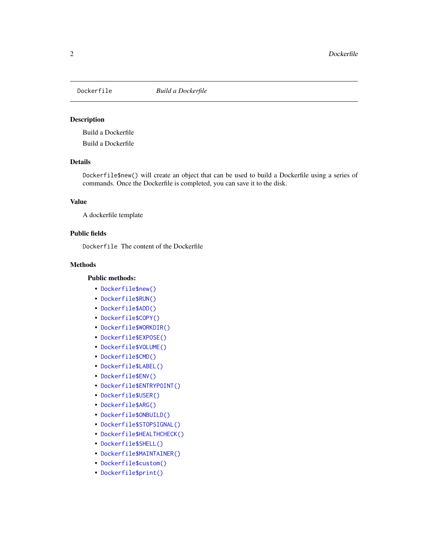<span id="page-1-0"></span>

#### Description

Build a Dockerfile

Build a Dockerfile

# Details

Dockerfile\$new() will create an object that can be used to build a Dockerfile using a series of commands. Once the Dockerfile is completed, you can save it to the disk.

#### Value

A dockerfile template

# Public fields

Dockerfile The content of the Dockerfile

# Methods

#### Public methods:

- [Dockerfile\\$new\(\)](#page-2-0)
- [Dockerfile\\$RUN\(\)](#page-2-1)
- [Dockerfile\\$ADD\(\)](#page-2-2)
- [Dockerfile\\$COPY\(\)](#page-2-3)
- [Dockerfile\\$WORKDIR\(\)](#page-2-4)
- [Dockerfile\\$EXPOSE\(\)](#page-2-5)
- [Dockerfile\\$VOLUME\(\)](#page-3-0)
- [Dockerfile\\$CMD\(\)](#page-3-1)
- [Dockerfile\\$LABEL\(\)](#page-3-2)
- [Dockerfile\\$ENV\(\)](#page-3-3)
- [Dockerfile\\$ENTRYPOINT\(\)](#page-3-4)
- [Dockerfile\\$USER\(\)](#page-3-5)
- [Dockerfile\\$ARG\(\)](#page-3-6)
- [Dockerfile\\$ONBUILD\(\)](#page-4-0)
- [Dockerfile\\$STOPSIGNAL\(\)](#page-4-1)
- [Dockerfile\\$HEALTHCHECK\(\)](#page-4-2)
- [Dockerfile\\$SHELL\(\)](#page-4-3)
- [Dockerfile\\$MAINTAINER\(\)](#page-4-4)
- [Dockerfile\\$custom\(\)](#page-4-5)
- [Dockerfile\\$print\(\)](#page-4-6)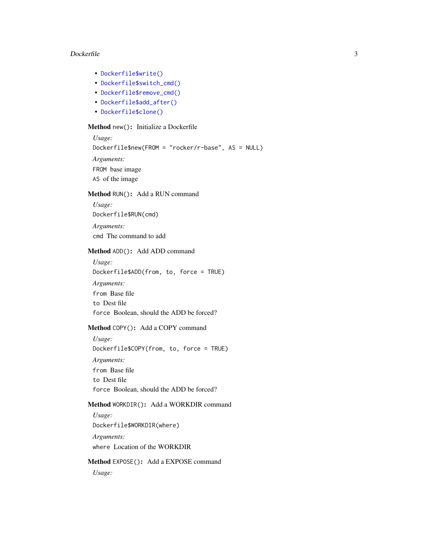- [Dockerfile\\$write\(\)](#page-5-0)
- [Dockerfile\\$switch\\_cmd\(\)](#page-5-1)
- [Dockerfile\\$remove\\_cmd\(\)](#page-5-2)
- [Dockerfile\\$add\\_after\(\)](#page-5-3)
- [Dockerfile\\$clone\(\)](#page-5-4)

# <span id="page-2-0"></span>Method new(): Initialize a Dockerfile

*Usage:* Dockerfile\$new(FROM = "rocker/r-base", AS = NULL) *Arguments:* FROM base image AS of the image

# <span id="page-2-1"></span>Method RUN(): Add a RUN command

*Usage:* Dockerfile\$RUN(cmd) *Arguments:* cmd The command to add

#### <span id="page-2-2"></span>Method ADD(): Add ADD command

*Usage:* Dockerfile\$ADD(from, to, force = TRUE)

*Arguments:* from Base file to Dest file force Boolean, should the ADD be forced?

# <span id="page-2-3"></span>Method COPY(): Add a COPY command

*Usage:* Dockerfile\$COPY(from, to, force = TRUE) *Arguments:* from Base file to Dest file force Boolean, should the ADD be forced?

# <span id="page-2-4"></span>Method WORKDIR(): Add a WORKDIR command

*Usage:* Dockerfile\$WORKDIR(where) *Arguments:* where Location of the WORKDIR

<span id="page-2-5"></span>Method EXPOSE(): Add a EXPOSE command

*Usage:*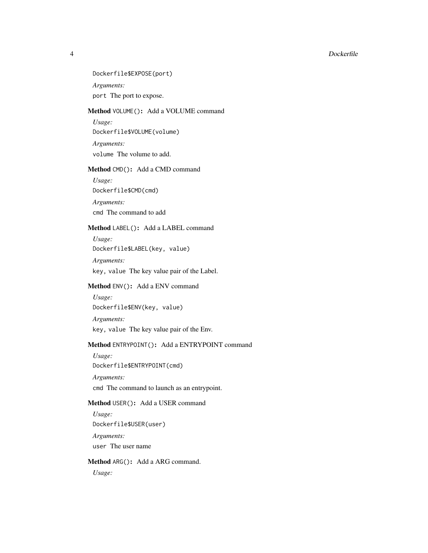Dockerfile\$EXPOSE(port) *Arguments:* port The port to expose.

## <span id="page-3-0"></span>Method VOLUME(): Add a VOLUME command

*Usage:* Dockerfile\$VOLUME(volume)

*Arguments:* volume The volume to add.

# <span id="page-3-1"></span>Method CMD(): Add a CMD command

*Usage:* Dockerfile\$CMD(cmd)

*Arguments:* cmd The command to add

# <span id="page-3-2"></span>Method LABEL(): Add a LABEL command

*Usage:* Dockerfile\$LABEL(key, value)

*Arguments:*

key, value The key value pair of the Label.

# <span id="page-3-3"></span>Method ENV(): Add a ENV command

*Usage:* Dockerfile\$ENV(key, value) *Arguments:* key, value The key value pair of the Env.

# <span id="page-3-4"></span>Method ENTRYPOINT(): Add a ENTRYPOINT command

*Usage:* Dockerfile\$ENTRYPOINT(cmd) *Arguments:*

cmd The command to launch as an entrypoint.

# <span id="page-3-5"></span>Method USER(): Add a USER command

*Usage:* Dockerfile\$USER(user) *Arguments:* user The user name

# <span id="page-3-6"></span>Method ARG(): Add a ARG command.

*Usage:*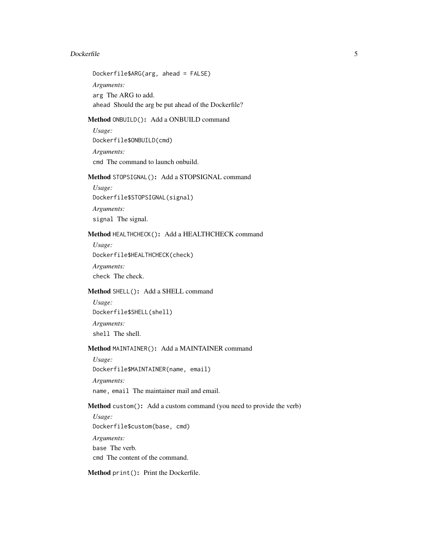Dockerfile\$ARG(arg, ahead = FALSE) *Arguments:* arg The ARG to add. ahead Should the arg be put ahead of the Dockerfile?

# <span id="page-4-0"></span>Method ONBUILD(): Add a ONBUILD command

*Usage:* Dockerfile\$ONBUILD(cmd) *Arguments:* cmd The command to launch onbuild.

# <span id="page-4-1"></span>Method STOPSIGNAL(): Add a STOPSIGNAL command

*Usage:* Dockerfile\$STOPSIGNAL(signal) *Arguments:* signal The signal.

# <span id="page-4-2"></span>Method HEALTHCHECK(): Add a HEALTHCHECK command

*Usage:*

Dockerfile\$HEALTHCHECK(check)

*Arguments:*

check The check.

# <span id="page-4-3"></span>Method SHELL(): Add a SHELL command

*Usage:* Dockerfile\$SHELL(shell)

*Arguments:* shell The shell.

# <span id="page-4-4"></span>Method MAINTAINER(): Add a MAINTAINER command

*Usage:* Dockerfile\$MAINTAINER(name, email) *Arguments:*

name, email The maintainer mail and email.

#### <span id="page-4-5"></span>Method custom(): Add a custom command (you need to provide the verb)

*Usage:* Dockerfile\$custom(base, cmd) *Arguments:* base The verb. cmd The content of the command.

<span id="page-4-6"></span>Method print(): Print the Dockerfile.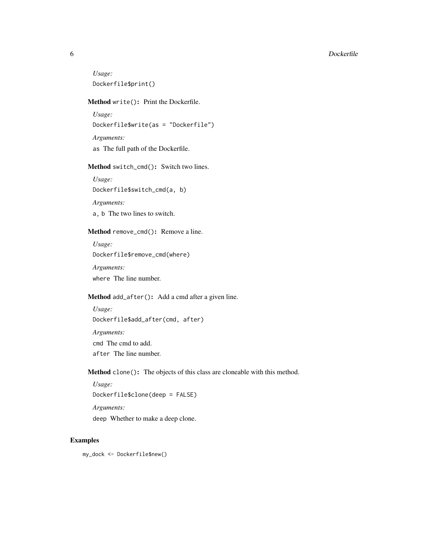*Usage:* Dockerfile\$print()

# <span id="page-5-0"></span>Method write(): Print the Dockerfile.

*Usage:* Dockerfile\$write(as = "Dockerfile") *Arguments:* as The full path of the Dockerfile.

#### <span id="page-5-1"></span>Method switch\_cmd(): Switch two lines.

*Usage:* Dockerfile\$switch\_cmd(a, b)

*Arguments:*

a, b The two lines to switch.

#### <span id="page-5-2"></span>Method remove\_cmd(): Remove a line.

*Usage:* Dockerfile\$remove\_cmd(where)

*Arguments:* where The line number.

# <span id="page-5-3"></span>Method add\_after(): Add a cmd after a given line.

*Usage:* Dockerfile\$add\_after(cmd, after) *Arguments:* cmd The cmd to add. after The line number.

<span id="page-5-4"></span>Method clone(): The objects of this class are cloneable with this method.

```
Usage:
Dockerfile$clone(deep = FALSE)
Arguments:
deep Whether to make a deep clone.
```
#### Examples

my\_dock <- Dockerfile\$new()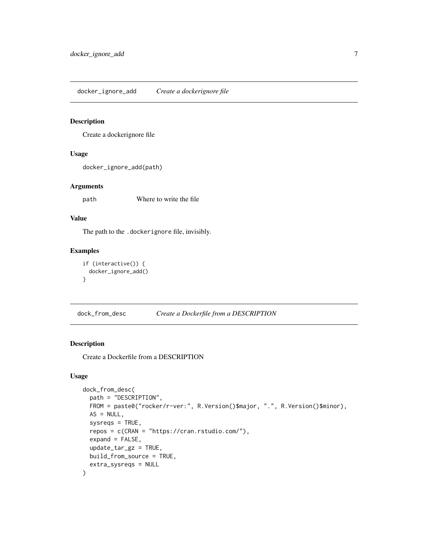<span id="page-6-0"></span>docker\_ignore\_add *Create a dockerignore file*

#### Description

Create a dockerignore file

# Usage

docker\_ignore\_add(path)

#### Arguments

path Where to write the file

# Value

The path to the .dockerignore file, invisibly.

# Examples

```
if (interactive()) {
 docker_ignore_add()
}
```
dock\_from\_desc *Create a Dockerfile from a DESCRIPTION*

# Description

Create a Dockerfile from a DESCRIPTION

#### Usage

```
dock_from_desc(
  path = "DESCRIPTION",
  FROM = paste0("rocker/r-ver:", R.Version()$major, ".", R.Version()$minor),
 AS = NULL,sysreqs = TRUE,
  repos = c(CRAN = "https://cran.rstudio.com/"),
 expand = FALSE,
 update\_tar\_gz = TRUE,build_from_source = TRUE,
  extra_sysreqs = NULL
)
```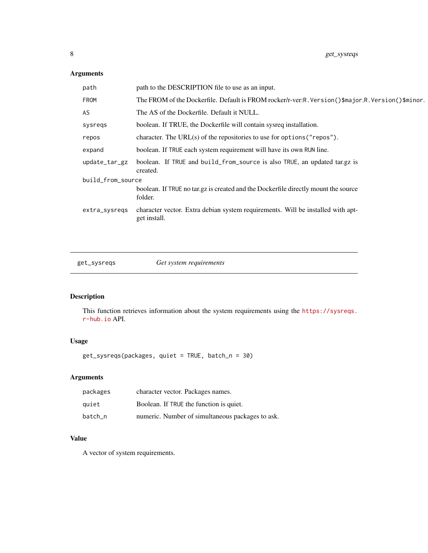# <span id="page-7-0"></span>Arguments

| path              | path to the DESCRIPTION file to use as an input.                                                  |
|-------------------|---------------------------------------------------------------------------------------------------|
| FROM              | The FROM of the Dockerfile. Default is FROM rocker/r-ver:R. Version()\$major.R. Version()\$minor. |
| AS.               | The AS of the Dockerfile. Default it NULL.                                                        |
| sysregs           | boolean. If TRUE, the Dockerfile will contain sysreq installation.                                |
| repos             | character. The URL $(s)$ of the repositories to use for options ("repos").                        |
| expand            | boolean. If TRUE each system requirement will have its own RUN line.                              |
| update_tar_gz     | boolean. If TRUE and build_from_source is also TRUE, an updated tar.gz is<br>created.             |
| build_from_source |                                                                                                   |
|                   | boolean. If TRUE no targe is created and the Dockerfile directly mount the source<br>folder.      |
| extra_sysregs     | character vector. Extra debian system requirements. Will be installed with apt-<br>get install.   |
|                   |                                                                                                   |

get\_sysreqs *Get system requirements*

# Description

This function retrieves information about the system requirements using the [https://sysreqs.](https://sysreqs.r-hub.io) [r-hub.io](https://sysreqs.r-hub.io) API.

# Usage

get\_sysreqs(packages, quiet = TRUE, batch\_n = 30)

# Arguments

| packages | character vector. Packages names.                |
|----------|--------------------------------------------------|
| quiet    | Boolean. If TRUE the function is quiet.          |
| batch n  | numeric. Number of simultaneous packages to ask. |

# Value

A vector of system requirements.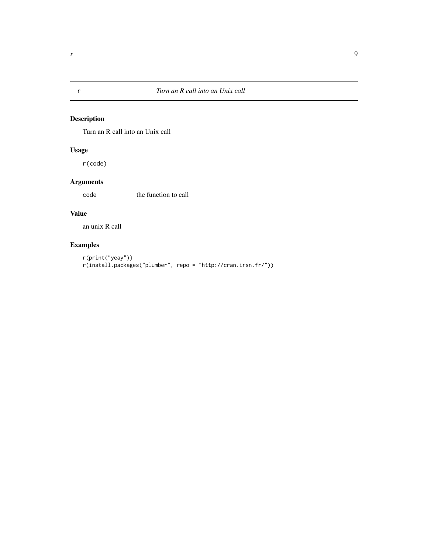# <span id="page-8-0"></span>Description

Turn an R call into an Unix call

# Usage

r(code)

# Arguments

code the function to call

# Value

an unix R call

# Examples

```
r(print("yeay"))
r(install.packages("plumber", repo = "http://cran.irsn.fr/"))
```